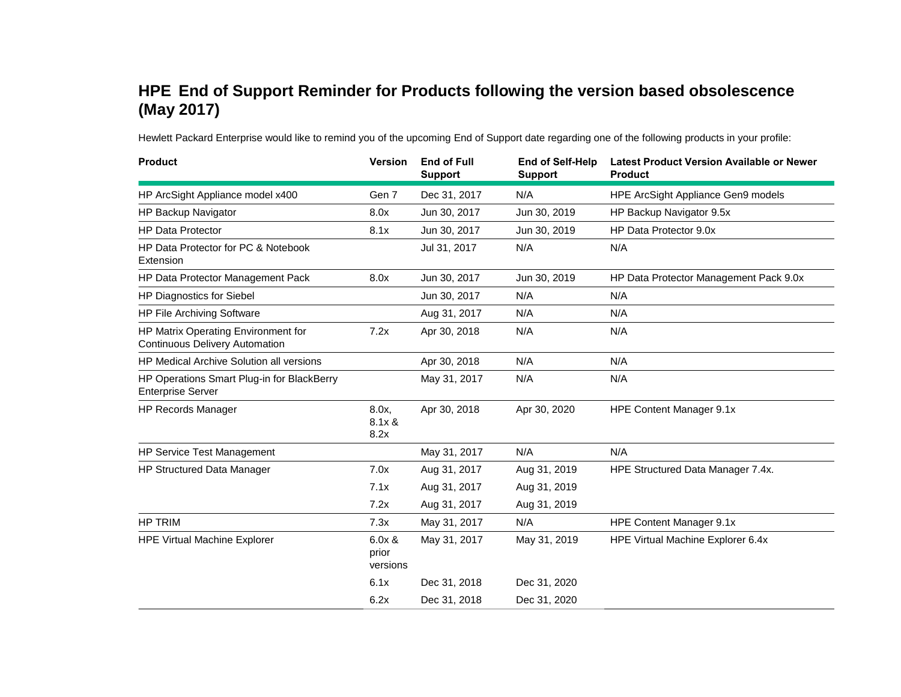## **HPE End of Support Reminder for Products following the version based obsolescence (May 2017)**

Hewlett Packard Enterprise would like to remind you of the upcoming End of Support date regarding one of the following products in your profile:

| <b>Product</b>                                                               | <b>Version</b>              | <b>End of Full</b><br><b>Support</b> | <b>End of Self-Help</b><br><b>Support</b> | <b>Latest Product Version Available or Newer</b><br><b>Product</b> |
|------------------------------------------------------------------------------|-----------------------------|--------------------------------------|-------------------------------------------|--------------------------------------------------------------------|
| HP ArcSight Appliance model x400                                             | Gen 7                       | Dec 31, 2017                         | N/A                                       | HPE ArcSight Appliance Gen9 models                                 |
| HP Backup Navigator                                                          | 8.0x                        | Jun 30, 2017                         | Jun 30, 2019                              | HP Backup Navigator 9.5x                                           |
| <b>HP Data Protector</b>                                                     | 8.1x                        | Jun 30, 2017                         | Jun 30, 2019                              | HP Data Protector 9.0x                                             |
| HP Data Protector for PC & Notebook<br>Extension                             |                             | Jul 31, 2017                         | N/A                                       | N/A                                                                |
| HP Data Protector Management Pack                                            | 8.0x                        | Jun 30, 2017                         | Jun 30, 2019                              | HP Data Protector Management Pack 9.0x                             |
| HP Diagnostics for Siebel                                                    |                             | Jun 30, 2017                         | N/A                                       | N/A                                                                |
| HP File Archiving Software                                                   |                             | Aug 31, 2017                         | N/A                                       | N/A                                                                |
| HP Matrix Operating Environment for<br><b>Continuous Delivery Automation</b> | 7.2x                        | Apr 30, 2018                         | N/A                                       | N/A                                                                |
| HP Medical Archive Solution all versions                                     |                             | Apr 30, 2018                         | N/A                                       | N/A                                                                |
| HP Operations Smart Plug-in for BlackBerry<br><b>Enterprise Server</b>       |                             | May 31, 2017                         | N/A                                       | N/A                                                                |
| <b>HP Records Manager</b>                                                    | 8.0x,<br>8.1x &<br>8.2x     | Apr 30, 2018                         | Apr 30, 2020                              | HPE Content Manager 9.1x                                           |
| HP Service Test Management                                                   |                             | May 31, 2017                         | N/A                                       | N/A                                                                |
| HP Structured Data Manager                                                   | 7.0x                        | Aug 31, 2017                         | Aug 31, 2019                              | HPE Structured Data Manager 7.4x.                                  |
|                                                                              | 7.1x                        | Aug 31, 2017                         | Aug 31, 2019                              |                                                                    |
|                                                                              | 7.2x                        | Aug 31, 2017                         | Aug 31, 2019                              |                                                                    |
| <b>HP TRIM</b>                                                               | 7.3x                        | May 31, 2017                         | N/A                                       | HPE Content Manager 9.1x                                           |
| <b>HPE Virtual Machine Explorer</b>                                          | 6.0x &<br>prior<br>versions | May 31, 2017                         | May 31, 2019                              | HPE Virtual Machine Explorer 6.4x                                  |
|                                                                              | 6.1x                        | Dec 31, 2018                         | Dec 31, 2020                              |                                                                    |
|                                                                              | 6.2x                        | Dec 31, 2018                         | Dec 31, 2020                              |                                                                    |